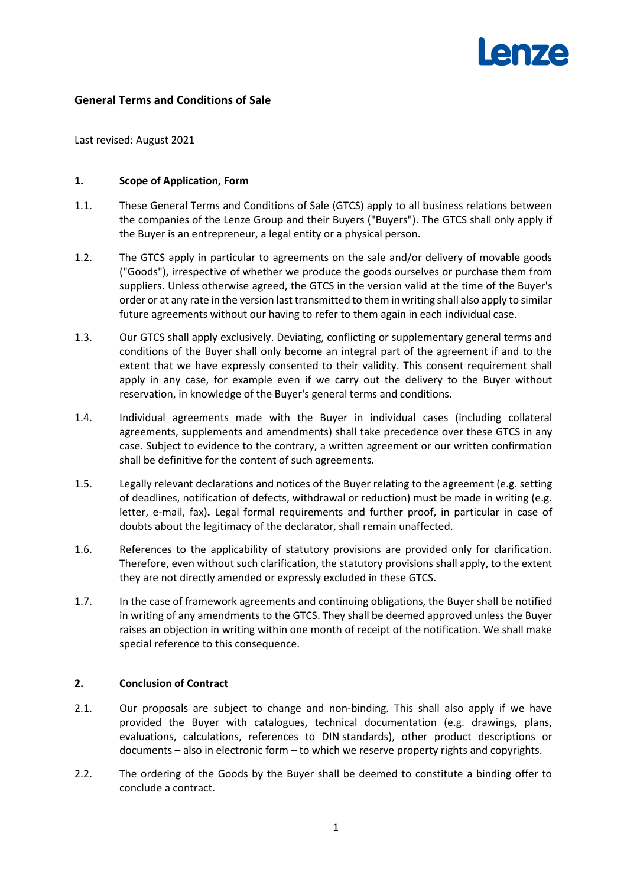# **General Terms and Conditions of Sale**

Last revised: August 2021

#### **1. Scope of Application, Form**

- 1.1. These General Terms and Conditions of Sale (GTCS) apply to all business relations between the companies of the Lenze Group and their Buyers ("Buyers"). The GTCS shall only apply if the Buyer is an entrepreneur, a legal entity or a physical person.
- 1.2. The GTCS apply in particular to agreements on the sale and/or delivery of movable goods ("Goods"), irrespective of whether we produce the goods ourselves or purchase them from suppliers. Unless otherwise agreed, the GTCS in the version valid at the time of the Buyer's order or at any rate in the version last transmitted to them in writing shall also apply to similar future agreements without our having to refer to them again in each individual case.
- 1.3. Our GTCS shall apply exclusively. Deviating, conflicting or supplementary general terms and conditions of the Buyer shall only become an integral part of the agreement if and to the extent that we have expressly consented to their validity. This consent requirement shall apply in any case, for example even if we carry out the delivery to the Buyer without reservation, in knowledge of the Buyer's general terms and conditions.
- 1.4. Individual agreements made with the Buyer in individual cases (including collateral agreements, supplements and amendments) shall take precedence over these GTCS in any case. Subject to evidence to the contrary, a written agreement or our written confirmation shall be definitive for the content of such agreements.
- 1.5. Legally relevant declarations and notices of the Buyer relating to the agreement (e.g. setting of deadlines, notification of defects, withdrawal or reduction) must be made in writing (e.g. letter, e-mail, fax)**.** Legal formal requirements and further proof, in particular in case of doubts about the legitimacy of the declarator, shall remain unaffected.
- 1.6. References to the applicability of statutory provisions are provided only for clarification. Therefore, even without such clarification, the statutory provisions shall apply, to the extent they are not directly amended or expressly excluded in these GTCS.
- 1.7. In the case of framework agreements and continuing obligations, the Buyer shall be notified in writing of any amendments to the GTCS. They shall be deemed approved unless the Buyer raises an objection in writing within one month of receipt of the notification. We shall make special reference to this consequence.

## **2. Conclusion of Contract**

- 2.1. Our proposals are subject to change and non-binding. This shall also apply if we have provided the Buyer with catalogues, technical documentation (e.g. drawings, plans, evaluations, calculations, references to DIN standards), other product descriptions or documents – also in electronic form – to which we reserve property rights and copyrights.
- 2.2. The ordering of the Goods by the Buyer shall be deemed to constitute a binding offer to conclude a contract.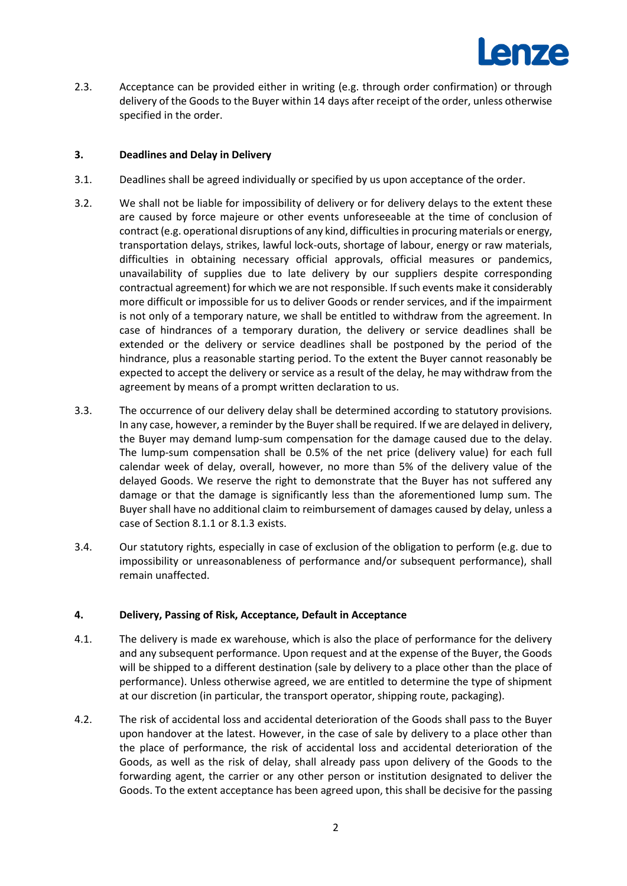

2.3. Acceptance can be provided either in writing (e.g. through order confirmation) or through delivery of the Goods to the Buyer within 14 days after receipt of the order, unless otherwise specified in the order.

# **3. Deadlines and Delay in Delivery**

- 3.1. Deadlines shall be agreed individually or specified by us upon acceptance of the order.
- 3.2. We shall not be liable for impossibility of delivery or for delivery delays to the extent these are caused by force majeure or other events unforeseeable at the time of conclusion of contract (e.g. operational disruptions of any kind, difficulties in procuring materials or energy, transportation delays, strikes, lawful lock-outs, shortage of labour, energy or raw materials, difficulties in obtaining necessary official approvals, official measures or pandemics, unavailability of supplies due to late delivery by our suppliers despite corresponding contractual agreement) for which we are not responsible. If such events make it considerably more difficult or impossible for us to deliver Goods or render services, and if the impairment is not only of a temporary nature, we shall be entitled to withdraw from the agreement. In case of hindrances of a temporary duration, the delivery or service deadlines shall be extended or the delivery or service deadlines shall be postponed by the period of the hindrance, plus a reasonable starting period. To the extent the Buyer cannot reasonably be expected to accept the delivery or service as a result of the delay, he may withdraw from the agreement by means of a prompt written declaration to us.
- 3.3. The occurrence of our delivery delay shall be determined according to statutory provisions. In any case, however, a reminder by the Buyer shall be required. If we are delayed in delivery, the Buyer may demand lump-sum compensation for the damage caused due to the delay. The lump-sum compensation shall be 0.5% of the net price (delivery value) for each full calendar week of delay, overall, however, no more than 5% of the delivery value of the delayed Goods. We reserve the right to demonstrate that the Buyer has not suffered any damage or that the damage is significantly less than the aforementioned lump sum. The Buyer shall have no additional claim to reimbursement of damages caused by delay, unless a case of Section [8.1.1](#page-5-0) o[r 8.1.3](#page-6-0) exists.
- 3.4. Our statutory rights, especially in case of exclusion of the obligation to perform (e.g. due to impossibility or unreasonableness of performance and/or subsequent performance), shall remain unaffected.

## **4. Delivery, Passing of Risk, Acceptance, Default in Acceptance**

- <span id="page-1-0"></span>4.1. The delivery is made ex warehouse, which is also the place of performance for the delivery and any subsequent performance. Upon request and at the expense of the Buyer, the Goods will be shipped to a different destination (sale by delivery to a place other than the place of performance). Unless otherwise agreed, we are entitled to determine the type of shipment at our discretion (in particular, the transport operator, shipping route, packaging).
- 4.2. The risk of accidental loss and accidental deterioration of the Goods shall pass to the Buyer upon handover at the latest. However, in the case of sale by delivery to a place other than the place of performance, the risk of accidental loss and accidental deterioration of the Goods, as well as the risk of delay, shall already pass upon delivery of the Goods to the forwarding agent, the carrier or any other person or institution designated to deliver the Goods. To the extent acceptance has been agreed upon, this shall be decisive for the passing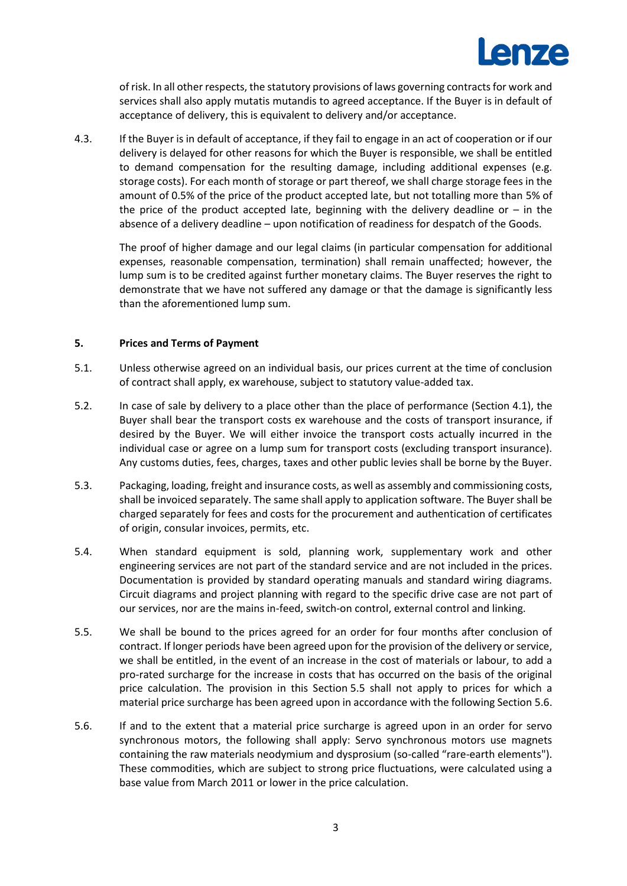

of risk. In all other respects, the statutory provisions of laws governing contracts for work and services shall also apply mutatis mutandis to agreed acceptance. If the Buyer is in default of acceptance of delivery, this is equivalent to delivery and/or acceptance.

4.3. If the Buyer is in default of acceptance, if they fail to engage in an act of cooperation or if our delivery is delayed for other reasons for which the Buyer is responsible, we shall be entitled to demand compensation for the resulting damage, including additional expenses (e.g. storage costs). For each month of storage or part thereof, we shall charge storage fees in the amount of 0.5% of the price of the product accepted late, but not totalling more than 5% of the price of the product accepted late, beginning with the delivery deadline or  $-$  in the absence of a delivery deadline – upon notification of readiness for despatch of the Goods.

The proof of higher damage and our legal claims (in particular compensation for additional expenses, reasonable compensation, termination) shall remain unaffected; however, the lump sum is to be credited against further monetary claims. The Buyer reserves the right to demonstrate that we have not suffered any damage or that the damage is significantly less than the aforementioned lump sum.

## **5. Prices and Terms of Payment**

- 5.1. Unless otherwise agreed on an individual basis, our prices current at the time of conclusion of contract shall apply, ex warehouse, subject to statutory value-added tax.
- 5.2. In case of sale by delivery to a place other than the place of performance (Section [4.1\)](#page-1-0), the Buyer shall bear the transport costs ex warehouse and the costs of transport insurance, if desired by the Buyer. We will either invoice the transport costs actually incurred in the individual case or agree on a lump sum for transport costs (excluding transport insurance). Any customs duties, fees, charges, taxes and other public levies shall be borne by the Buyer.
- 5.3. Packaging, loading, freight and insurance costs, as well as assembly and commissioning costs, shall be invoiced separately. The same shall apply to application software. The Buyer shall be charged separately for fees and costs for the procurement and authentication of certificates of origin, consular invoices, permits, etc.
- 5.4. When standard equipment is sold, planning work, supplementary work and other engineering services are not part of the standard service and are not included in the prices. Documentation is provided by standard operating manuals and standard wiring diagrams. Circuit diagrams and project planning with regard to the specific drive case are not part of our services, nor are the mains in-feed, switch-on control, external control and linking.
- <span id="page-2-0"></span>5.5. We shall be bound to the prices agreed for an order for four months after conclusion of contract. If longer periods have been agreed upon for the provision of the delivery or service, we shall be entitled, in the event of an increase in the cost of materials or labour, to add a pro-rated surcharge for the increase in costs that has occurred on the basis of the original price calculation. The provision in this Section [5.5](#page-2-0) shall not apply to prices for which a material price surcharge has been agreed upon in accordance with the following Section [5.6.](#page-2-1)
- <span id="page-2-1"></span>5.6. If and to the extent that a material price surcharge is agreed upon in an order for servo synchronous motors, the following shall apply: Servo synchronous motors use magnets containing the raw materials neodymium and dysprosium (so-called "rare-earth elements"). These commodities, which are subject to strong price fluctuations, were calculated using a base value from March 2011 or lower in the price calculation.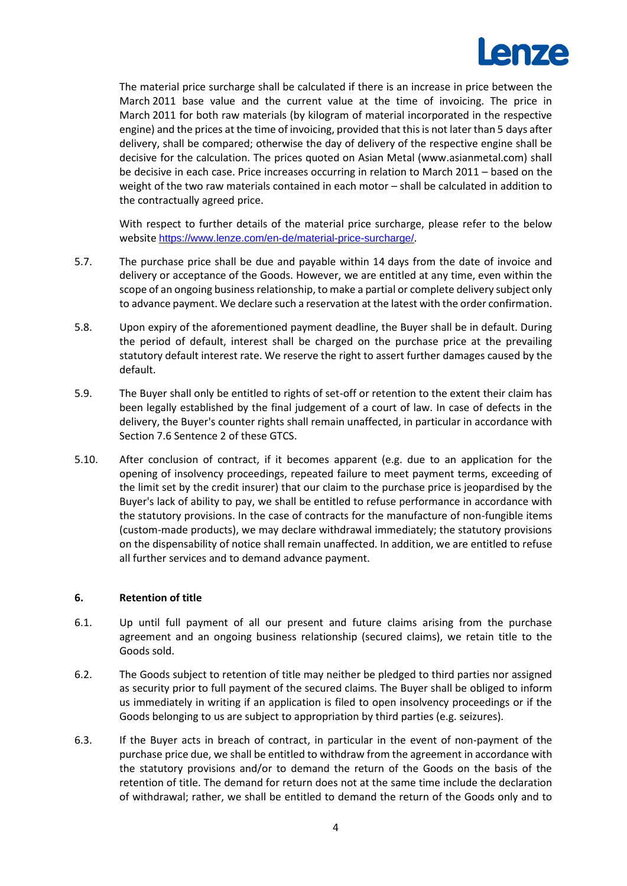

The material price surcharge shall be calculated if there is an increase in price between the March 2011 base value and the current value at the time of invoicing. The price in March 2011 for both raw materials (by kilogram of material incorporated in the respective engine) and the prices at the time of invoicing, provided that this is not later than 5 days after delivery, shall be compared; otherwise the day of delivery of the respective engine shall be decisive for the calculation. The prices quoted on Asian Metal (www.asianmetal.com) shall be decisive in each case. Price increases occurring in relation to March 2011 – based on the weight of the two raw materials contained in each motor – shall be calculated in addition to the contractually agreed price.

With respect to further details of the material price surcharge, please refer to the below website <https://www.lenze.com/en-de/material-price-surcharge/>.

- 5.7. The purchase price shall be due and payable within 14 days from the date of invoice and delivery or acceptance of the Goods. However, we are entitled at any time, even within the scope of an ongoing business relationship, to make a partial or complete delivery subject only to advance payment. We declare such a reservation at the latest with the order confirmation.
- 5.8. Upon expiry of the aforementioned payment deadline, the Buyer shall be in default. During the period of default, interest shall be charged on the purchase price at the prevailing statutory default interest rate. We reserve the right to assert further damages caused by the default.
- 5.9. The Buyer shall only be entitled to rights of set-off or retention to the extent their claim has been legally established by the final judgement of a court of law. In case of defects in the delivery, the Buyer's counter rights shall remain unaffected, in particular in accordance with Section [7.6](#page-5-1) Sentence 2 of these GTCS.
- 5.10. After conclusion of contract, if it becomes apparent (e.g. due to an application for the opening of insolvency proceedings, repeated failure to meet payment terms, exceeding of the limit set by the credit insurer) that our claim to the purchase price is jeopardised by the Buyer's lack of ability to pay, we shall be entitled to refuse performance in accordance with the statutory provisions. In the case of contracts for the manufacture of non-fungible items (custom-made products), we may declare withdrawal immediately; the statutory provisions on the dispensability of notice shall remain unaffected. In addition, we are entitled to refuse all further services and to demand advance payment.

## **6. Retention of title**

- 6.1. Up until full payment of all our present and future claims arising from the purchase agreement and an ongoing business relationship (secured claims), we retain title to the Goods sold.
- 6.2. The Goods subject to retention of title may neither be pledged to third parties nor assigned as security prior to full payment of the secured claims. The Buyer shall be obliged to inform us immediately in writing if an application is filed to open insolvency proceedings or if the Goods belonging to us are subject to appropriation by third parties (e.g. seizures).
- <span id="page-3-0"></span>6.3. If the Buyer acts in breach of contract, in particular in the event of non-payment of the purchase price due, we shall be entitled to withdraw from the agreement in accordance with the statutory provisions and/or to demand the return of the Goods on the basis of the retention of title. The demand for return does not at the same time include the declaration of withdrawal; rather, we shall be entitled to demand the return of the Goods only and to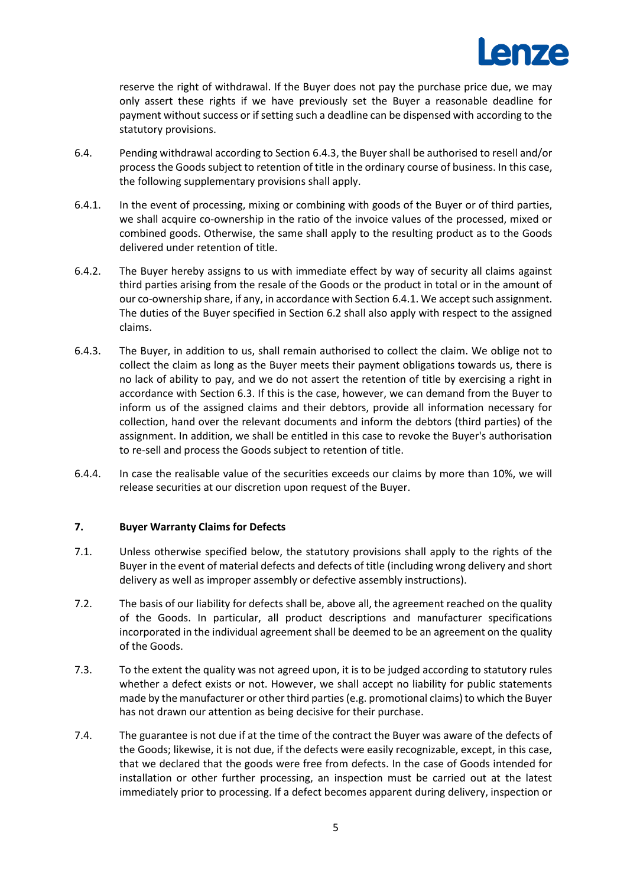

reserve the right of withdrawal. If the Buyer does not pay the purchase price due, we may only assert these rights if we have previously set the Buyer a reasonable deadline for payment without success or if setting such a deadline can be dispensed with according to the statutory provisions.

- 6.4. Pending withdrawal according to Section [6.4.3,](#page-4-0) the Buyer shall be authorised to resell and/or process the Goods subject to retention of title in the ordinary course of business. In this case, the following supplementary provisions shall apply.
- 6.4.1. In the event of processing, mixing or combining with goods of the Buyer or of third parties, we shall acquire co-ownership in the ratio of the invoice values of the processed, mixed or combined goods. Otherwise, the same shall apply to the resulting product as to the Goods delivered under retention of title.
- 6.4.2. The Buyer hereby assigns to us with immediate effect by way of security all claims against third parties arising from the resale of the Goods or the product in total or in the amount of our co-ownership share, if any, in accordance with Section 6.4.1. We accept such assignment. The duties of the Buyer specified in Section 6.2 shall also apply with respect to the assigned claims.
- <span id="page-4-0"></span>6.4.3. The Buyer, in addition to us, shall remain authorised to collect the claim. We oblige not to collect the claim as long as the Buyer meets their payment obligations towards us, there is no lack of ability to pay, and we do not assert the retention of title by exercising a right in accordance with Section [6.3.](#page-3-0) If this is the case, however, we can demand from the Buyer to inform us of the assigned claims and their debtors, provide all information necessary for collection, hand over the relevant documents and inform the debtors (third parties) of the assignment. In addition, we shall be entitled in this case to revoke the Buyer's authorisation to re-sell and process the Goods subject to retention of title.
- 6.4.4. In case the realisable value of the securities exceeds our claims by more than 10%, we will release securities at our discretion upon request of the Buyer.

## **7. Buyer Warranty Claims for Defects**

- 7.1. Unless otherwise specified below, the statutory provisions shall apply to the rights of the Buyer in the event of material defects and defects of title (including wrong delivery and short delivery as well as improper assembly or defective assembly instructions).
- 7.2. The basis of our liability for defects shall be, above all, the agreement reached on the quality of the Goods. In particular, all product descriptions and manufacturer specifications incorporated in the individual agreement shall be deemed to be an agreement on the quality of the Goods.
- 7.3. To the extent the quality was not agreed upon, it is to be judged according to statutory rules whether a defect exists or not. However, we shall accept no liability for public statements made by the manufacturer or other third parties (e.g. promotional claims) to which the Buyer has not drawn our attention as being decisive for their purchase.
- 7.4. The guarantee is not due if at the time of the contract the Buyer was aware of the defects of the Goods; likewise, it is not due, if the defects were easily recognizable, except, in this case, that we declared that the goods were free from defects. In the case of Goods intended for installation or other further processing, an inspection must be carried out at the latest immediately prior to processing. If a defect becomes apparent during delivery, inspection or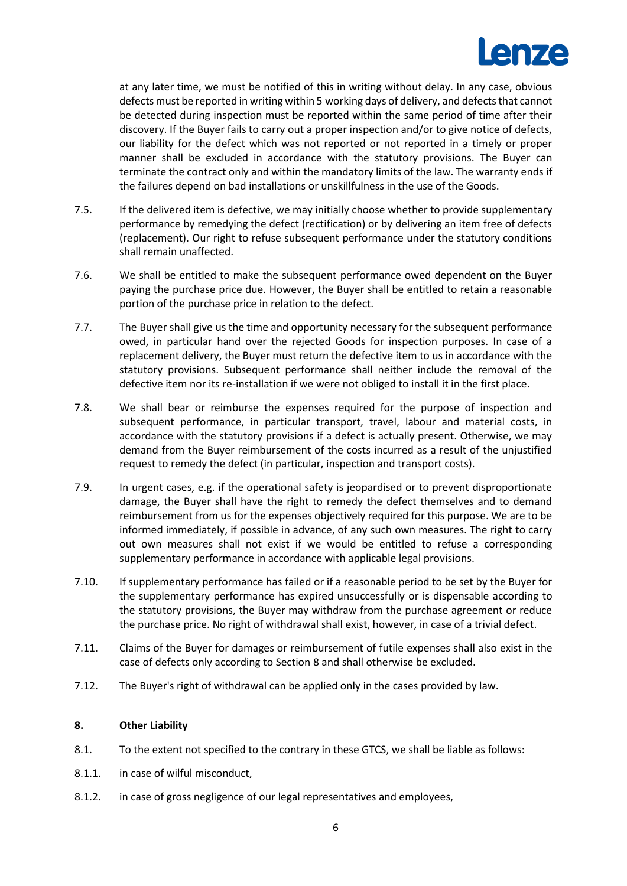

at any later time, we must be notified of this in writing without delay. In any case, obvious defects must be reported in writing within 5 working days of delivery, and defects that cannot be detected during inspection must be reported within the same period of time after their discovery. If the Buyer fails to carry out a proper inspection and/or to give notice of defects, our liability for the defect which was not reported or not reported in a timely or proper manner shall be excluded in accordance with the statutory provisions. The Buyer can terminate the contract only and within the mandatory limits of the law. The warranty ends if the failures depend on bad installations or unskillfulness in the use of the Goods.

- 7.5. If the delivered item is defective, we may initially choose whether to provide supplementary performance by remedying the defect (rectification) or by delivering an item free of defects (replacement). Our right to refuse subsequent performance under the statutory conditions shall remain unaffected.
- <span id="page-5-1"></span>7.6. We shall be entitled to make the subsequent performance owed dependent on the Buyer paying the purchase price due. However, the Buyer shall be entitled to retain a reasonable portion of the purchase price in relation to the defect.
- 7.7. The Buyer shall give us the time and opportunity necessary for the subsequent performance owed, in particular hand over the rejected Goods for inspection purposes. In case of a replacement delivery, the Buyer must return the defective item to us in accordance with the statutory provisions. Subsequent performance shall neither include the removal of the defective item nor its re-installation if we were not obliged to install it in the first place.
- 7.8. We shall bear or reimburse the expenses required for the purpose of inspection and subsequent performance, in particular transport, travel, labour and material costs, in accordance with the statutory provisions if a defect is actually present. Otherwise, we may demand from the Buyer reimbursement of the costs incurred as a result of the unjustified request to remedy the defect (in particular, inspection and transport costs).
- 7.9. In urgent cases, e.g. if the operational safety is jeopardised or to prevent disproportionate damage, the Buyer shall have the right to remedy the defect themselves and to demand reimbursement from us for the expenses objectively required for this purpose. We are to be informed immediately, if possible in advance, of any such own measures. The right to carry out own measures shall not exist if we would be entitled to refuse a corresponding supplementary performance in accordance with applicable legal provisions.
- 7.10. If supplementary performance has failed or if a reasonable period to be set by the Buyer for the supplementary performance has expired unsuccessfully or is dispensable according to the statutory provisions, the Buyer may withdraw from the purchase agreement or reduce the purchase price. No right of withdrawal shall exist, however, in case of a trivial defect.
- 7.11. Claims of the Buyer for damages or reimbursement of futile expenses shall also exist in the case of defects only according to Section 8 and shall otherwise be excluded.
- <span id="page-5-2"></span>7.12. The Buyer's right of withdrawal can be applied only in the cases provided by law.

## **8. Other Liability**

- 8.1. To the extent not specified to the contrary in these GTCS, we shall be liable as follows:
- <span id="page-5-0"></span>8.1.1. in case of wilful misconduct,
- 8.1.2. in case of gross negligence of our legal representatives and employees,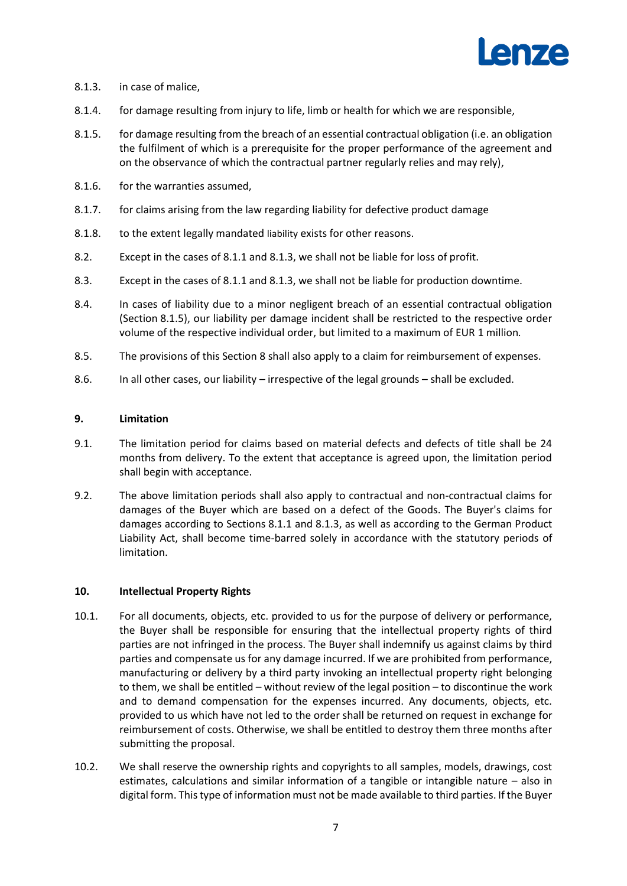

- <span id="page-6-0"></span>8.1.3. in case of malice,
- 8.1.4. for damage resulting from injury to life, limb or health for which we are responsible,
- <span id="page-6-1"></span>8.1.5. for damage resulting from the breach of an essential contractual obligation (i.e. an obligation the fulfilment of which is a prerequisite for the proper performance of the agreement and on the observance of which the contractual partner regularly relies and may rely),
- 8.1.6. for the warranties assumed,
- 8.1.7. for claims arising from the law regarding liability for defective product damage
- 8.1.8. to the extent legally mandated liability exists for other reasons.
- 8.2. Except in the cases of [8.1.1](#page-5-0) and [8.1.3,](#page-6-0) we shall not be liable for loss of profit.
- 8.3. Except in the cases of 8.1.1 and 8.1.3, we shall not be liable for production downtime.
- 8.4. In cases of liability due to a minor negligent breach of an essential contractual obligation (Section [8.1.5\)](#page-6-1), our liability per damage incident shall be restricted to the respective order volume of the respective individual order, but limited to a maximum of EUR 1 million*.*
- 8.5. The provisions of this Section [8](#page-5-2) shall also apply to a claim for reimbursement of expenses.
- 8.6. In all other cases, our liability irrespective of the legal grounds shall be excluded.

#### **9. Limitation**

- 9.1. The limitation period for claims based on material defects and defects of title shall be 24 months from delivery. To the extent that acceptance is agreed upon, the limitation period shall begin with acceptance.
- 9.2. The above limitation periods shall also apply to contractual and non-contractual claims for damages of the Buyer which are based on a defect of the Goods. The Buyer's claims for damages according to Sections [8.1.1](#page-5-0) and [8.1.3,](#page-6-0) as well as according to the German Product Liability Act, shall become time-barred solely in accordance with the statutory periods of limitation.

#### **10. Intellectual Property Rights**

- 10.1. For all documents, objects, etc. provided to us for the purpose of delivery or performance, the Buyer shall be responsible for ensuring that the intellectual property rights of third parties are not infringed in the process. The Buyer shall indemnify us against claims by third parties and compensate us for any damage incurred. If we are prohibited from performance, manufacturing or delivery by a third party invoking an intellectual property right belonging to them, we shall be entitled – without review of the legal position – to discontinue the work and to demand compensation for the expenses incurred. Any documents, objects, etc. provided to us which have not led to the order shall be returned on request in exchange for reimbursement of costs. Otherwise, we shall be entitled to destroy them three months after submitting the proposal.
- 10.2. We shall reserve the ownership rights and copyrights to all samples, models, drawings, cost estimates, calculations and similar information of a tangible or intangible nature – also in digital form. This type of information must not be made available to third parties. If the Buyer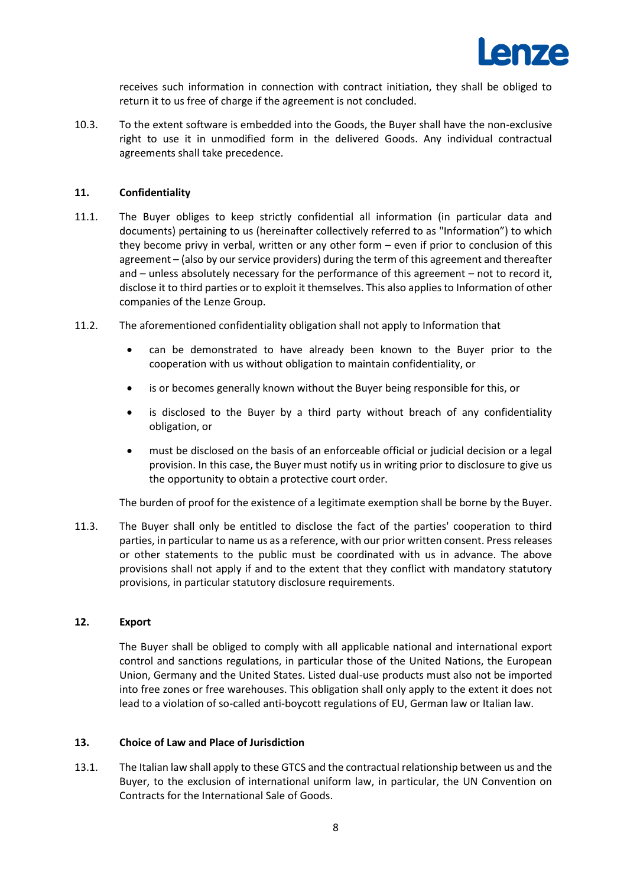

receives such information in connection with contract initiation, they shall be obliged to return it to us free of charge if the agreement is not concluded.

10.3. To the extent software is embedded into the Goods, the Buyer shall have the non-exclusive right to use it in unmodified form in the delivered Goods. Any individual contractual agreements shall take precedence.

## **11. Confidentiality**

- 11.1. The Buyer obliges to keep strictly confidential all information (in particular data and documents) pertaining to us (hereinafter collectively referred to as "Information") to which they become privy in verbal, written or any other form – even if prior to conclusion of this agreement – (also by our service providers) during the term of this agreement and thereafter and – unless absolutely necessary for the performance of this agreement – not to record it, disclose it to third parties or to exploit it themselves. This also applies to Information of other companies of the Lenze Group.
- 11.2. The aforementioned confidentiality obligation shall not apply to Information that
	- can be demonstrated to have already been known to the Buyer prior to the cooperation with us without obligation to maintain confidentiality, or
	- is or becomes generally known without the Buyer being responsible for this, or
	- is disclosed to the Buyer by a third party without breach of any confidentiality obligation, or
	- must be disclosed on the basis of an enforceable official or judicial decision or a legal provision. In this case, the Buyer must notify us in writing prior to disclosure to give us the opportunity to obtain a protective court order.

The burden of proof for the existence of a legitimate exemption shall be borne by the Buyer.

11.3. The Buyer shall only be entitled to disclose the fact of the parties' cooperation to third parties, in particular to name us as a reference, with our prior written consent. Press releases or other statements to the public must be coordinated with us in advance. The above provisions shall not apply if and to the extent that they conflict with mandatory statutory provisions, in particular statutory disclosure requirements.

## **12. Export**

The Buyer shall be obliged to comply with all applicable national and international export control and sanctions regulations, in particular those of the United Nations, the European Union, Germany and the United States. Listed dual-use products must also not be imported into free zones or free warehouses. This obligation shall only apply to the extent it does not lead to a violation of so-called anti-boycott regulations of EU, German law or Italian law.

## **13. Choice of Law and Place of Jurisdiction**

13.1. The Italian law shall apply to these GTCS and the contractual relationship between us and the Buyer, to the exclusion of international uniform law, in particular, the UN Convention on Contracts for the International Sale of Goods.